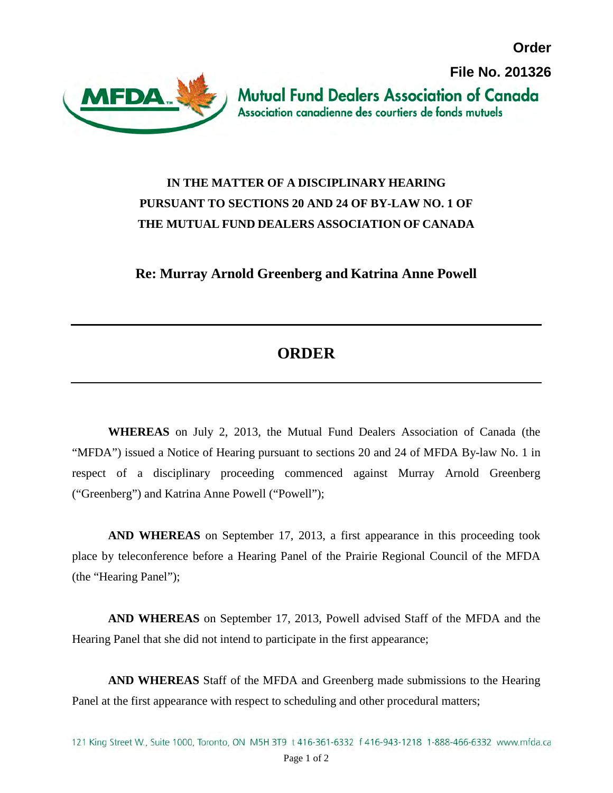**Order**



## **IN THE MATTER OF A DISCIPLINARY HEARING PURSUANT TO SECTIONS 20 AND 24 OF BY-LAW NO. 1 OF THE MUTUAL FUND DEALERS ASSOCIATION OF CANADA**

**Re: Murray Arnold Greenberg and Katrina Anne Powell**

## **ORDER**

**WHEREAS** on July 2, 2013, the Mutual Fund Dealers Association of Canada (the "MFDA") issued a Notice of Hearing pursuant to sections 20 and 24 of MFDA By-law No. 1 in respect of a disciplinary proceeding commenced against Murray Arnold Greenberg ("Greenberg") and Katrina Anne Powell ("Powell");

**AND WHEREAS** on September 17, 2013, a first appearance in this proceeding took place by teleconference before a Hearing Panel of the Prairie Regional Council of the MFDA (the "Hearing Panel");

**AND WHEREAS** on September 17, 2013, Powell advised Staff of the MFDA and the Hearing Panel that she did not intend to participate in the first appearance;

**AND WHEREAS** Staff of the MFDA and Greenberg made submissions to the Hearing Panel at the first appearance with respect to scheduling and other procedural matters;